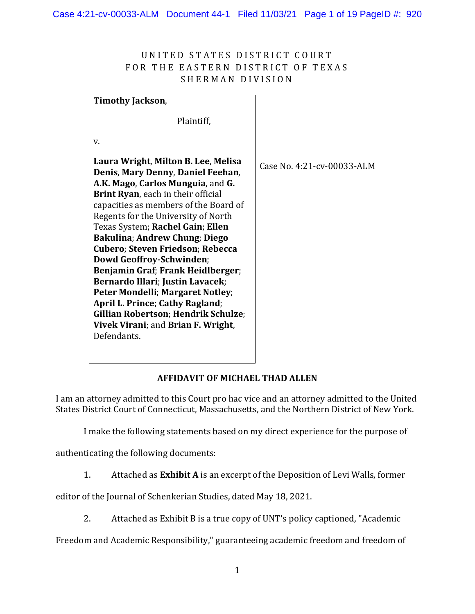## UNITED STATES DISTRICT COURT FOR THE EASTERN DISTRICT OF TEXAS SHERMAN DIVISION

## **Timothy Jackson**,

Plaintiff,

v.

| Laura Wright, Milton B. Lee, Melisa<br>Denis, Mary Denny, Daniel Feehan,<br>A.K. Mago, Carlos Munguia, and G.<br><b>Brint Ryan</b> , each in their official<br>capacities as members of the Board of<br>Regents for the University of North<br>Texas System; Rachel Gain; Ellen<br>Bakulina; Andrew Chung; Diego<br>Cubero; Steven Friedson; Rebecca<br>Dowd Geoffroy-Schwinden;<br>Benjamin Graf; Frank Heidlberger;<br>Bernardo Illari; Justin Lavacek;<br>Peter Mondelli; Margaret Notley;<br>April L. Prince; Cathy Ragland;<br><b>Gillian Robertson; Hendrik Schulze;</b><br>Vivek Virani; and Brian F. Wright,<br>Defendants. | Case No. 4:21-cv-00033-ALM |
|-------------------------------------------------------------------------------------------------------------------------------------------------------------------------------------------------------------------------------------------------------------------------------------------------------------------------------------------------------------------------------------------------------------------------------------------------------------------------------------------------------------------------------------------------------------------------------------------------------------------------------------|----------------------------|
|                                                                                                                                                                                                                                                                                                                                                                                                                                                                                                                                                                                                                                     |                            |

## **AFFIDAVIT OF MICHAEL THAD ALLEN**

I am an attorney admitted to this Court pro hac vice and an attorney admitted to the United States District Court of Connecticut, Massachusetts, and the Northern District of New York.

I make the following statements based on my direct experience for the purpose of

authenticating the following documents:

1. Attached as **Exhibit A** is an excerpt of the Deposition of Levi Walls, former

editor of the Journal of Schenkerian Studies, dated May 18, 2021.

2. Attached as Exhibit B is a true copy of UNT's policy captioned, "Academic

Freedom and Academic Responsibility," guaranteeing academic freedom and freedom of